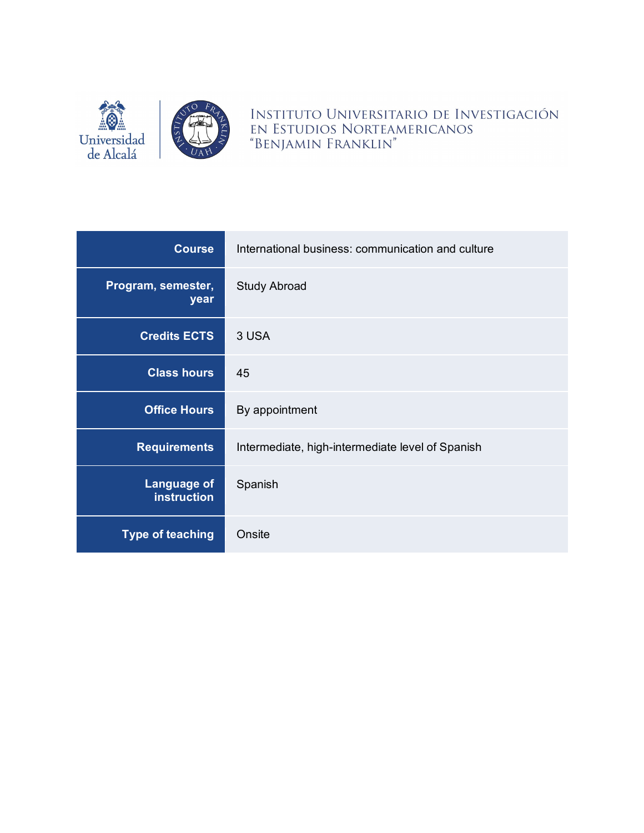

INSTITUTO UNIVERSITARIO DE INVESTIGACIÓN EN ESTUDIOS NORTEAMERICANOS "BENJAMIN FRANKLIN"

| <b>Course</b>                            | International business: communication and culture |
|------------------------------------------|---------------------------------------------------|
| Program, semester,<br>year               | <b>Study Abroad</b>                               |
| <b>Credits ECTS</b>                      | 3 USA                                             |
| <b>Class hours</b>                       | 45                                                |
| <b>Office Hours</b>                      | By appointment                                    |
| <b>Requirements</b>                      | Intermediate, high-intermediate level of Spanish  |
| <b>Language of</b><br><b>instruction</b> | Spanish                                           |
| <b>Type of teaching</b>                  | Onsite                                            |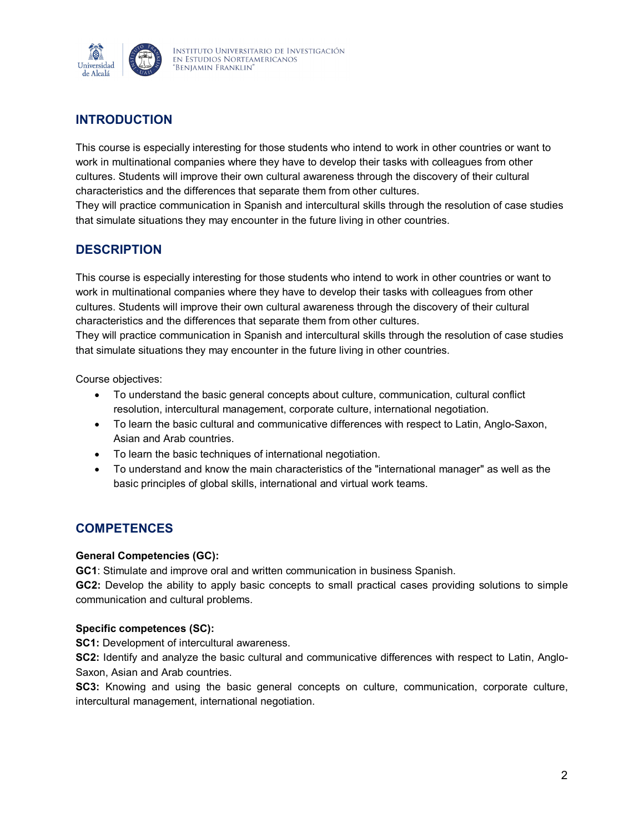

# **INTRODUCTION**

This course is especially interesting for those students who intend to work in other countries or want to work in multinational companies where they have to develop their tasks with colleagues from other cultures. Students will improve their own cultural awareness through the discovery of their cultural characteristics and the differences that separate them from other cultures.

They will practice communication in Spanish and intercultural skills through the resolution of case studies that simulate situations they may encounter in the future living in other countries.

# **DESCRIPTION**

This course is especially interesting for those students who intend to work in other countries or want to work in multinational companies where they have to develop their tasks with colleagues from other cultures. Students will improve their own cultural awareness through the discovery of their cultural characteristics and the differences that separate them from other cultures.

They will practice communication in Spanish and intercultural skills through the resolution of case studies that simulate situations they may encounter in the future living in other countries.

Course objectives:

- To understand the basic general concepts about culture, communication, cultural conflict resolution, intercultural management, corporate culture, international negotiation.
- To learn the basic cultural and communicative differences with respect to Latin, Anglo-Saxon, Asian and Arab countries.
- To learn the basic techniques of international negotiation.
- To understand and know the main characteristics of the "international manager" as well as the basic principles of global skills, international and virtual work teams.

# **COMPETENCES**

#### **General Competencies (GC):**

**GC1**: Stimulate and improve oral and written communication in business Spanish.

**GC2:** Develop the ability to apply basic concepts to small practical cases providing solutions to simple communication and cultural problems.

### **Specific competences (SC):**

**SC1:** Development of intercultural awareness.

**SC2:** Identify and analyze the basic cultural and communicative differences with respect to Latin, Anglo-Saxon, Asian and Arab countries.

**SC3:** Knowing and using the basic general concepts on culture, communication, corporate culture, intercultural management, international negotiation.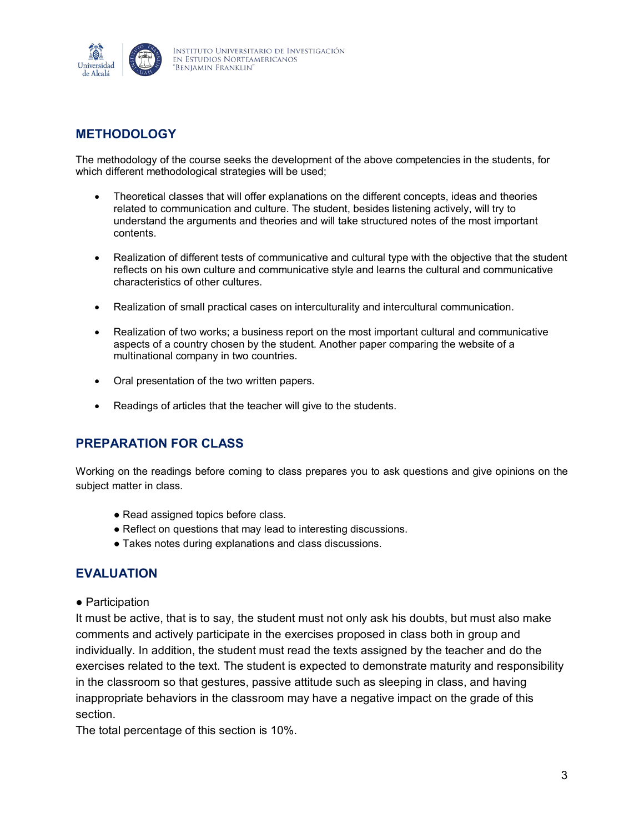

# **METHODOLOGY**

The methodology of the course seeks the development of the above competencies in the students, for which different methodological strategies will be used;

- Theoretical classes that will offer explanations on the different concepts, ideas and theories related to communication and culture. The student, besides listening actively, will try to understand the arguments and theories and will take structured notes of the most important contents.
- Realization of different tests of communicative and cultural type with the objective that the student reflects on his own culture and communicative style and learns the cultural and communicative characteristics of other cultures.
- Realization of small practical cases on interculturality and intercultural communication.
- Realization of two works; a business report on the most important cultural and communicative aspects of a country chosen by the student. Another paper comparing the website of a multinational company in two countries.
- Oral presentation of the two written papers.
- Readings of articles that the teacher will give to the students.

# **PREPARATION FOR CLASS**

Working on the readings before coming to class prepares you to ask questions and give opinions on the subject matter in class.

- Read assigned topics before class.
- Reflect on questions that may lead to interesting discussions.
- Takes notes during explanations and class discussions.

## **EVALUATION**

● Participation

It must be active, that is to say, the student must not only ask his doubts, but must also make comments and actively participate in the exercises proposed in class both in group and individually. In addition, the student must read the texts assigned by the teacher and do the exercises related to the text. The student is expected to demonstrate maturity and responsibility in the classroom so that gestures, passive attitude such as sleeping in class, and having inappropriate behaviors in the classroom may have a negative impact on the grade of this section.

The total percentage of this section is 10%.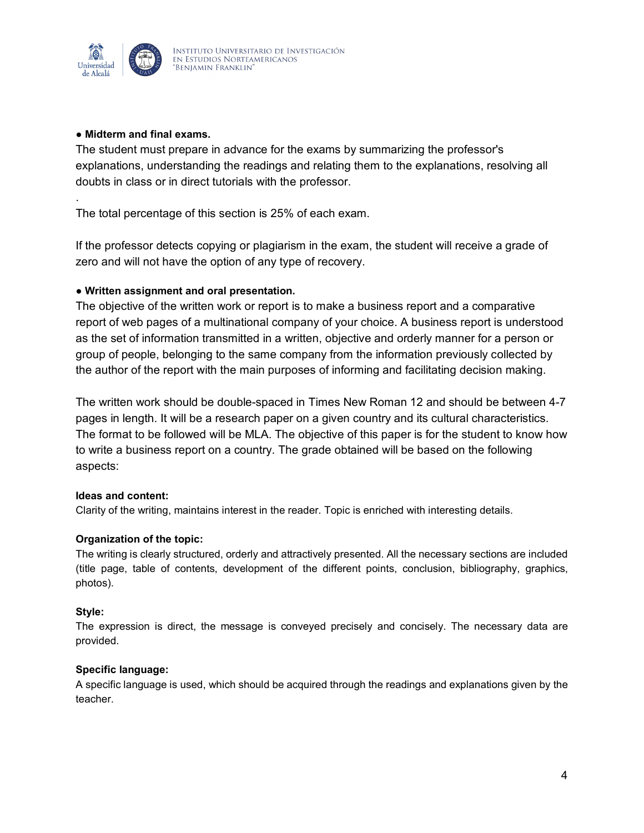

.

#### **● Midterm and final exams.**

The student must prepare in advance for the exams by summarizing the professor's explanations, understanding the readings and relating them to the explanations, resolving all doubts in class or in direct tutorials with the professor.

The total percentage of this section is 25% of each exam.

If the professor detects copying or plagiarism in the exam, the student will receive a grade of zero and will not have the option of any type of recovery.

### **● Written assignment and oral presentation.**

The objective of the written work or report is to make a business report and a comparative report of web pages of a multinational company of your choice. A business report is understood as the set of information transmitted in a written, objective and orderly manner for a person or group of people, belonging to the same company from the information previously collected by the author of the report with the main purposes of informing and facilitating decision making.

The written work should be double-spaced in Times New Roman 12 and should be between 4-7 pages in length. It will be a research paper on a given country and its cultural characteristics. The format to be followed will be MLA. The objective of this paper is for the student to know how to write a business report on a country. The grade obtained will be based on the following aspects:

### **Ideas and content:**

Clarity of the writing, maintains interest in the reader. Topic is enriched with interesting details.

### **Organization of the topic:**

The writing is clearly structured, orderly and attractively presented. All the necessary sections are included (title page, table of contents, development of the different points, conclusion, bibliography, graphics, photos).

#### **Style:**

The expression is direct, the message is conveyed precisely and concisely. The necessary data are provided.

#### **Specific language:**

A specific language is used, which should be acquired through the readings and explanations given by the teacher.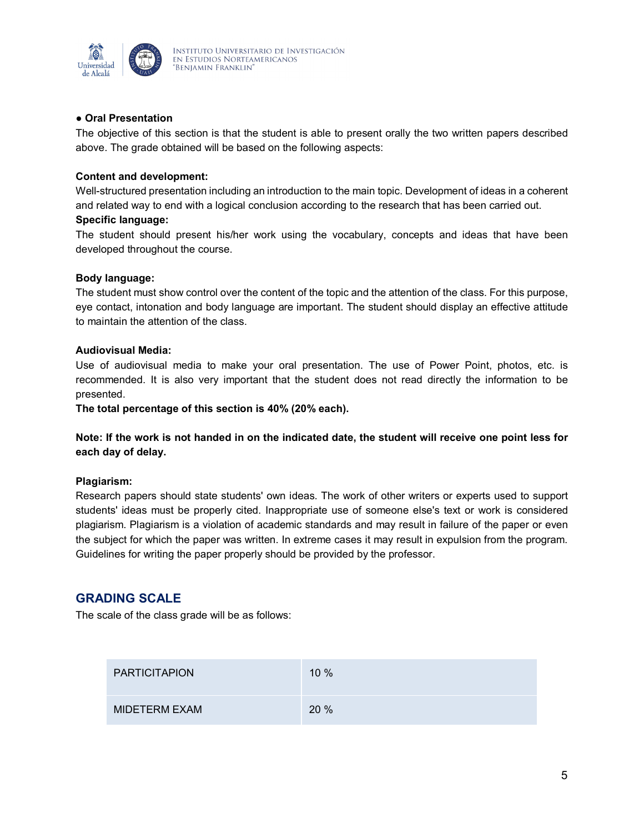

### **● Oral Presentation**

The objective of this section is that the student is able to present orally the two written papers described above. The grade obtained will be based on the following aspects:

### **Content and development:**

Well-structured presentation including an introduction to the main topic. Development of ideas in a coherent and related way to end with a logical conclusion according to the research that has been carried out. **Specific language:**

The student should present his/her work using the vocabulary, concepts and ideas that have been developed throughout the course.

#### **Body language:**

The student must show control over the content of the topic and the attention of the class. For this purpose, eye contact, intonation and body language are important. The student should display an effective attitude to maintain the attention of the class.

#### **Audiovisual Media:**

Use of audiovisual media to make your oral presentation. The use of Power Point, photos, etc. is recommended. It is also very important that the student does not read directly the information to be presented.

**The total percentage of this section is 40% (20% each).**

**Note: If the work is not handed in on the indicated date, the student will receive one point less for each day of delay.**

#### **Plagiarism:**

Research papers should state students' own ideas. The work of other writers or experts used to support students' ideas must be properly cited. Inappropriate use of someone else's text or work is considered plagiarism. Plagiarism is a violation of academic standards and may result in failure of the paper or even the subject for which the paper was written. In extreme cases it may result in expulsion from the program. Guidelines for writing the paper properly should be provided by the professor.

## **GRADING SCALE**

The scale of the class grade will be as follows:

| <b>PARTICITAPION</b> | $10\%$ |
|----------------------|--------|
| MIDETERM EXAM        | 20%    |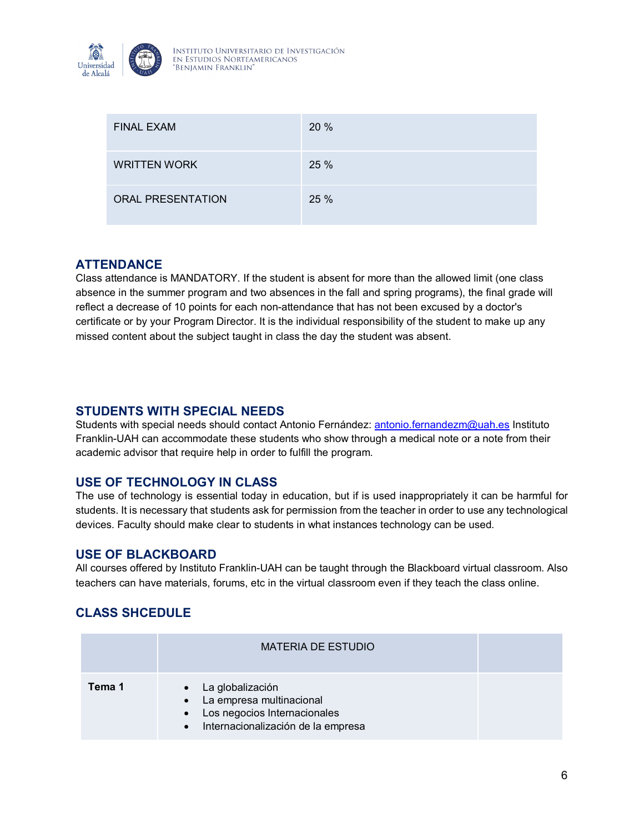

| <b>FINAL EXAM</b>        | 20 % |
|--------------------------|------|
| <b>WRITTEN WORK</b>      | 25 % |
| <b>ORAL PRESENTATION</b> | 25 % |

# **ATTENDANCE**

Class attendance is MANDATORY. If the student is absent for more than the allowed limit (one class absence in the summer program and two absences in the fall and spring programs), the final grade will reflect a decrease of 10 points for each non-attendance that has not been excused by a doctor's certificate or by your Program Director. It is the individual responsibility of the student to make up any missed content about the subject taught in class the day the student was absent.

# **STUDENTS WITH SPECIAL NEEDS**

Students with special needs should contact Antonio Fernández: [antonio.fernandezm@uah.es](mailto:antonio.fernandezm@uah.es) Instituto Franklin-UAH can accommodate these students who show through a medical note or a note from their academic advisor that require help in order to fulfill the program.

## **USE OF TECHNOLOGY IN CLASS**

The use of technology is essential today in education, but if is used inappropriately it can be harmful for students. It is necessary that students ask for permission from the teacher in order to use any technological devices. Faculty should make clear to students in what instances technology can be used.

## **USE OF BLACKBOARD**

All courses offered by Instituto Franklin-UAH can be taught through the Blackboard virtual classroom. Also teachers can have materials, forums, etc in the virtual classroom even if they teach the class online.

# **CLASS SHCEDULE**

|        | <b>MATERIA DE ESTUDIO</b>                                                                                                             |  |
|--------|---------------------------------------------------------------------------------------------------------------------------------------|--|
| Tema 1 | • La globalización<br>• La empresa multinacional<br>Los negocios Internacionales<br>$\bullet$<br>· Internacionalización de la empresa |  |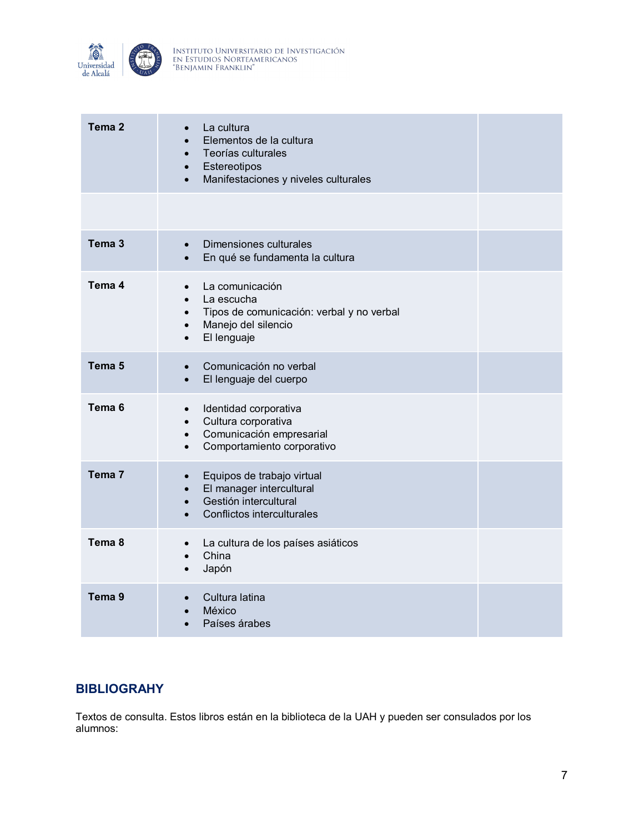

| Tema <sub>2</sub> | La cultura<br>$\bullet$<br>Elementos de la cultura<br>Teorías culturales<br>Estereotipos<br>$\bullet$<br>Manifestaciones y niveles culturales<br>$\bullet$ |  |
|-------------------|------------------------------------------------------------------------------------------------------------------------------------------------------------|--|
|                   |                                                                                                                                                            |  |
| Tema <sub>3</sub> | Dimensiones culturales<br>$\bullet$<br>En qué se fundamenta la cultura<br>$\bullet$                                                                        |  |
| Tema 4            | La comunicación<br>La escucha<br>Tipos de comunicación: verbal y no verbal<br>$\bullet$<br>Manejo del silencio<br>$\bullet$<br>El lenguaje<br>$\bullet$    |  |
| Tema <sub>5</sub> | Comunicación no verbal<br>$\bullet$<br>El lenguaje del cuerpo<br>$\bullet$                                                                                 |  |
| Tema <sub>6</sub> | Identidad corporativa<br>$\bullet$<br>Cultura corporativa<br>$\bullet$<br>Comunicación empresarial<br>$\bullet$<br>Comportamiento corporativo<br>$\bullet$ |  |
| Tema <sub>7</sub> | Equipos de trabajo virtual<br>El manager intercultural<br>$\bullet$<br>Gestión intercultural<br>$\bullet$<br>Conflictos interculturales                    |  |
| Tema 8            | La cultura de los países asiáticos<br>$\bullet$<br>China<br>$\bullet$<br>Japón<br>$\bullet$                                                                |  |
| Tema 9            | Cultura latina<br>México<br>Países árabes                                                                                                                  |  |

# **BIBLIOGRAHY**

Textos de consulta. Estos libros están en la biblioteca de la UAH y pueden ser consulados por los alumnos: